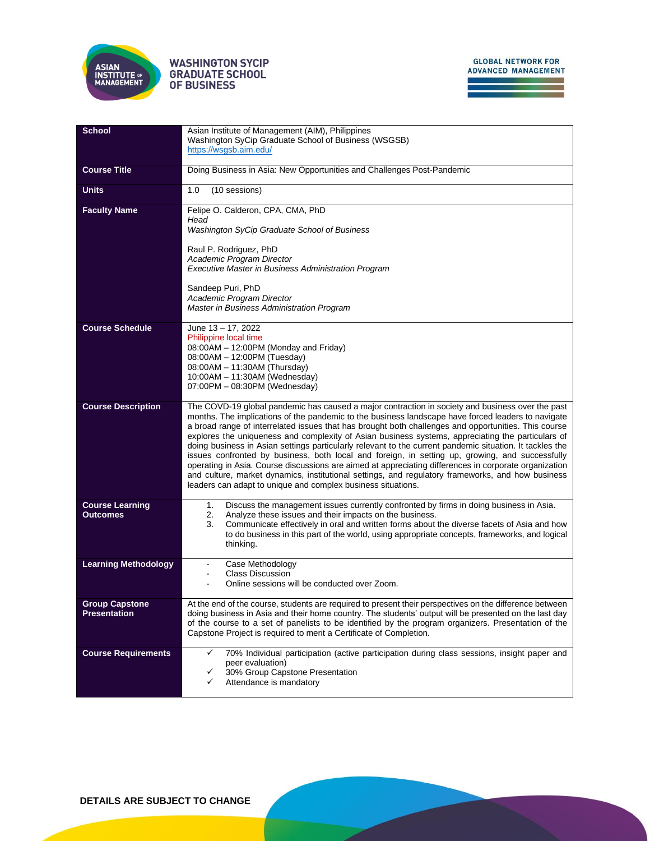

## **WASHINGTON SYCIP GRADUATE SCHOOL** OF BUSINESS

| <b>School</b>                                | Asian Institute of Management (AIM), Philippines<br>Washington SyCip Graduate School of Business (WSGSB)                                                                                                                                                                                                                                                                                                                                                                                                                                                                                                                                                                                                                                                                                                                                                                                                         |  |  |  |  |  |
|----------------------------------------------|------------------------------------------------------------------------------------------------------------------------------------------------------------------------------------------------------------------------------------------------------------------------------------------------------------------------------------------------------------------------------------------------------------------------------------------------------------------------------------------------------------------------------------------------------------------------------------------------------------------------------------------------------------------------------------------------------------------------------------------------------------------------------------------------------------------------------------------------------------------------------------------------------------------|--|--|--|--|--|
|                                              | https://wsgsb.aim.edu/                                                                                                                                                                                                                                                                                                                                                                                                                                                                                                                                                                                                                                                                                                                                                                                                                                                                                           |  |  |  |  |  |
| <b>Course Title</b>                          | Doing Business in Asia: New Opportunities and Challenges Post-Pandemic                                                                                                                                                                                                                                                                                                                                                                                                                                                                                                                                                                                                                                                                                                                                                                                                                                           |  |  |  |  |  |
| <b>Units</b>                                 | (10 sessions)<br>1.0                                                                                                                                                                                                                                                                                                                                                                                                                                                                                                                                                                                                                                                                                                                                                                                                                                                                                             |  |  |  |  |  |
| <b>Faculty Name</b>                          | Felipe O. Calderon, CPA, CMA, PhD<br>Head                                                                                                                                                                                                                                                                                                                                                                                                                                                                                                                                                                                                                                                                                                                                                                                                                                                                        |  |  |  |  |  |
|                                              | Washington SyCip Graduate School of Business                                                                                                                                                                                                                                                                                                                                                                                                                                                                                                                                                                                                                                                                                                                                                                                                                                                                     |  |  |  |  |  |
|                                              | Raul P. Rodriguez, PhD<br>Academic Program Director                                                                                                                                                                                                                                                                                                                                                                                                                                                                                                                                                                                                                                                                                                                                                                                                                                                              |  |  |  |  |  |
|                                              | Executive Master in Business Administration Program                                                                                                                                                                                                                                                                                                                                                                                                                                                                                                                                                                                                                                                                                                                                                                                                                                                              |  |  |  |  |  |
|                                              | Sandeep Puri, PhD<br>Academic Program Director                                                                                                                                                                                                                                                                                                                                                                                                                                                                                                                                                                                                                                                                                                                                                                                                                                                                   |  |  |  |  |  |
|                                              | Master in Business Administration Program                                                                                                                                                                                                                                                                                                                                                                                                                                                                                                                                                                                                                                                                                                                                                                                                                                                                        |  |  |  |  |  |
| <b>Course Schedule</b>                       | June 13 - 17, 2022<br>Philippine local time                                                                                                                                                                                                                                                                                                                                                                                                                                                                                                                                                                                                                                                                                                                                                                                                                                                                      |  |  |  |  |  |
|                                              | 08:00AM - 12:00PM (Monday and Friday)<br>08:00AM - 12:00PM (Tuesday)                                                                                                                                                                                                                                                                                                                                                                                                                                                                                                                                                                                                                                                                                                                                                                                                                                             |  |  |  |  |  |
|                                              | 08:00AM - 11:30AM (Thursday)<br>10:00AM - 11:30AM (Wednesday)                                                                                                                                                                                                                                                                                                                                                                                                                                                                                                                                                                                                                                                                                                                                                                                                                                                    |  |  |  |  |  |
|                                              | 07:00PM - 08:30PM (Wednesday)                                                                                                                                                                                                                                                                                                                                                                                                                                                                                                                                                                                                                                                                                                                                                                                                                                                                                    |  |  |  |  |  |
| <b>Course Description</b>                    | The COVD-19 global pandemic has caused a major contraction in society and business over the past<br>months. The implications of the pandemic to the business landscape have forced leaders to navigate<br>a broad range of interrelated issues that has brought both challenges and opportunities. This course<br>explores the uniqueness and complexity of Asian business systems, appreciating the particulars of<br>doing business in Asian settings particularly relevant to the current pandemic situation. It tackles the<br>issues confronted by business, both local and foreign, in setting up, growing, and successfully<br>operating in Asia. Course discussions are aimed at appreciating differences in corporate organization<br>and culture, market dynamics, institutional settings, and regulatory frameworks, and how business<br>leaders can adapt to unique and complex business situations. |  |  |  |  |  |
| <b>Course Learning</b><br><b>Outcomes</b>    | Discuss the management issues currently confronted by firms in doing business in Asia.<br>1.<br>2.<br>Analyze these issues and their impacts on the business.                                                                                                                                                                                                                                                                                                                                                                                                                                                                                                                                                                                                                                                                                                                                                    |  |  |  |  |  |
|                                              | Communicate effectively in oral and written forms about the diverse facets of Asia and how<br>3.<br>to do business in this part of the world, using appropriate concepts, frameworks, and logical<br>thinking.                                                                                                                                                                                                                                                                                                                                                                                                                                                                                                                                                                                                                                                                                                   |  |  |  |  |  |
| <b>Learning Methodology</b>                  | Case Methodology<br><b>Class Discussion</b>                                                                                                                                                                                                                                                                                                                                                                                                                                                                                                                                                                                                                                                                                                                                                                                                                                                                      |  |  |  |  |  |
|                                              | Online sessions will be conducted over Zoom.                                                                                                                                                                                                                                                                                                                                                                                                                                                                                                                                                                                                                                                                                                                                                                                                                                                                     |  |  |  |  |  |
| <b>Group Capstone</b><br><b>Presentation</b> | At the end of the course, students are required to present their perspectives on the difference between<br>doing business in Asia and their home country. The students' output will be presented on the last day                                                                                                                                                                                                                                                                                                                                                                                                                                                                                                                                                                                                                                                                                                 |  |  |  |  |  |
|                                              | of the course to a set of panelists to be identified by the program organizers. Presentation of the<br>Capstone Project is required to merit a Certificate of Completion.                                                                                                                                                                                                                                                                                                                                                                                                                                                                                                                                                                                                                                                                                                                                        |  |  |  |  |  |
| <b>Course Requirements</b>                   | 70% Individual participation (active participation during class sessions, insight paper and<br>peer evaluation)                                                                                                                                                                                                                                                                                                                                                                                                                                                                                                                                                                                                                                                                                                                                                                                                  |  |  |  |  |  |
|                                              | 30% Group Capstone Presentation<br>✓<br>Attendance is mandatory<br>✓                                                                                                                                                                                                                                                                                                                                                                                                                                                                                                                                                                                                                                                                                                                                                                                                                                             |  |  |  |  |  |
|                                              |                                                                                                                                                                                                                                                                                                                                                                                                                                                                                                                                                                                                                                                                                                                                                                                                                                                                                                                  |  |  |  |  |  |